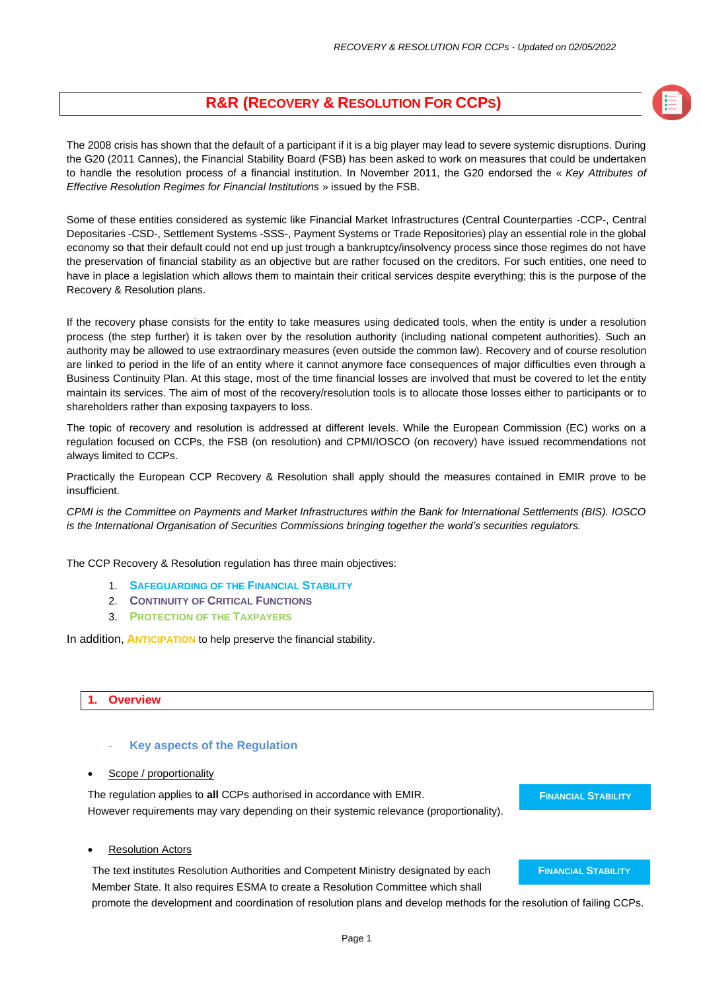## **R&R (RECOVERY & RESOLUTION FOR CCPS)**

The 2008 crisis has shown that the default of a participant if it is a big player may lead to severe systemic disruptions. During the G20 (2011 Cannes), the Financial Stability Board (FSB) has been asked to work on measures that could be undertaken to handle the resolution process of a financial institution. In November 2011, the G20 endorsed the « *Key Attributes of Effective Resolution Regimes for Financial Institutions* » issued by the FSB.

Some of these entities considered as systemic like Financial Market Infrastructures (Central Counterparties -CCP-, Central Depositaries -CSD-, Settlement Systems -SSS-, Payment Systems or Trade Repositories) play an essential role in the global economy so that their default could not end up just trough a bankruptcy/insolvency process since those regimes do not have the preservation of financial stability as an objective but are rather focused on the creditors. For such entities, one need to have in place a legislation which allows them to maintain their critical services despite everything; this is the purpose of the Recovery & Resolution plans.

If the recovery phase consists for the entity to take measures using dedicated tools, when the entity is under a resolution process (the step further) it is taken over by the resolution authority (including national competent authorities). Such an authority may be allowed to use extraordinary measures (even outside the common law). Recovery and of course resolution are linked to period in the life of an entity where it cannot anymore face consequences of major difficulties even through a Business Continuity Plan. At this stage, most of the time financial losses are involved that must be covered to let the entity maintain its services. The aim of most of the recovery/resolution tools is to allocate those losses either to participants or to shareholders rather than exposing taxpayers to loss.

The topic of recovery and resolution is addressed at different levels. While the European Commission (EC) works on a regulation focused on CCPs, the FSB (on resolution) and CPMI/IOSCO (on recovery) have issued recommendations not always limited to CCPs.

Practically the European CCP Recovery & Resolution shall apply should the measures contained in EMIR prove to be insufficient.

*CPMI is the Committee on Payments and Market Infrastructures within the Bank for International Settlements (BIS). IOSCO is the International Organisation of Securities Commissions bringing together the world's securities regulators.*

The CCP Recovery & Resolution regulation has three main objectives:

- 1. **SAFEGUARDING OF THE FINANCIAL STABILITY**
- 2. **CONTINUITY OF CRITICAL FUNCTIONS**
- 3. **PROTECTION OF THE TAXPAYERS**

In addition, **ANTICIPATION** to help preserve the financial stability.

### **1. Overview**

#### **Key aspects of the Regulation**

Scope / proportionality

The regulation applies to **all** CCPs authorised in accordance with EMIR. However requirements may vary depending on their systemic relevance (proportionality). **FINANCIAL STABILITY**

**Resolution Actors** 

The text institutes Resolution Authorities and Competent Ministry designated by each Member State. It also requires ESMA to create a Resolution Committee which shall

**FINANCIAL STABILITY**

promote the development and coordination of resolution plans and develop methods for the resolution of failing CCPs.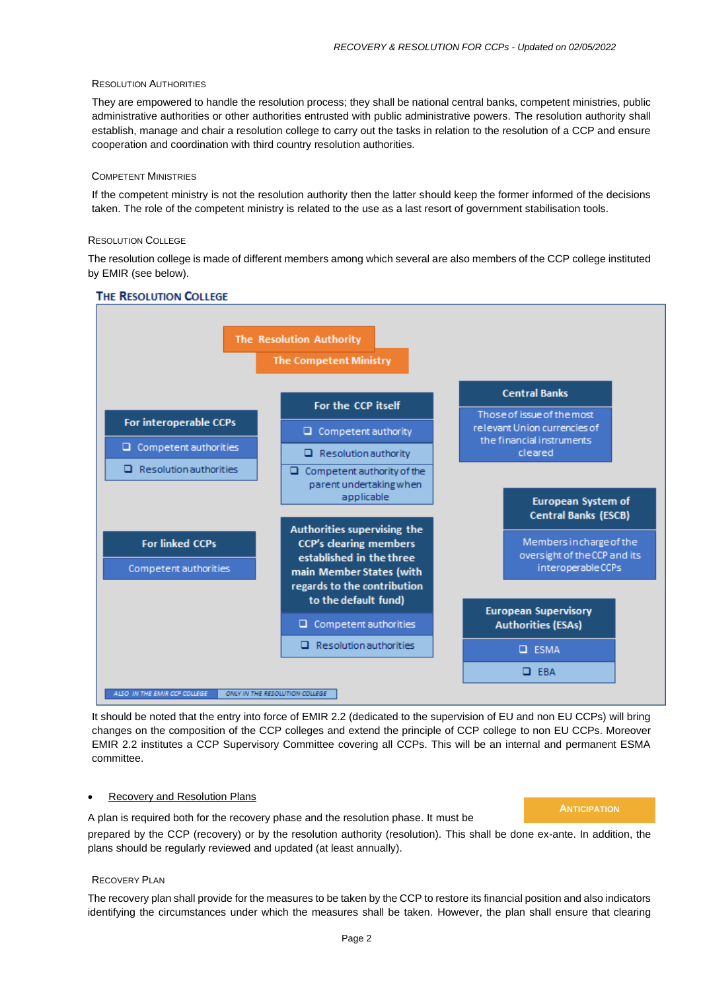#### RESOLUTION AUTHORITIES

They are empowered to handle the resolution process; they shall be national central banks, competent ministries, public administrative authorities or other authorities entrusted with public administrative powers. The resolution authority shall establish, manage and chair a resolution college to carry out the tasks in relation to the resolution of a CCP and ensure cooperation and coordination with third country resolution authorities.

#### COMPETENT MINISTRIES

If the competent ministry is not the resolution authority then the latter should keep the former informed of the decisions taken. The role of the competent ministry is related to the use as a last resort of government stabilisation tools.

#### RESOLUTION COLLEGE

The resolution college is made of different members among which several are also members of the CCP college instituted by EMIR (see below).



**THE RESOLUTION COLLEGE** 

It should be noted that the entry into force of EMIR 2.2 (dedicated to the supervision of EU and non EU CCPs) will bring changes on the composition of the CCP colleges and extend the principle of CCP college to non EU CCPs. Moreover EMIR 2.2 institutes a CCP Supervisory Committee covering all CCPs. This will be an internal and permanent ESMA committee.

#### • Recovery and Resolution Plans

**ANTICIPATION**

A plan is required both for the recovery phase and the resolution phase. It must be prepared by the CCP (recovery) or by the resolution authority (resolution). This shall be done ex-ante. In addition, the plans should be regularly reviewed and updated (at least annually).

#### RECOVERY PLAN

The recovery plan shall provide for the measures to be taken by the CCP to restore its financial position and also indicators identifying the circumstances under which the measures shall be taken. However, the plan shall ensure that clearing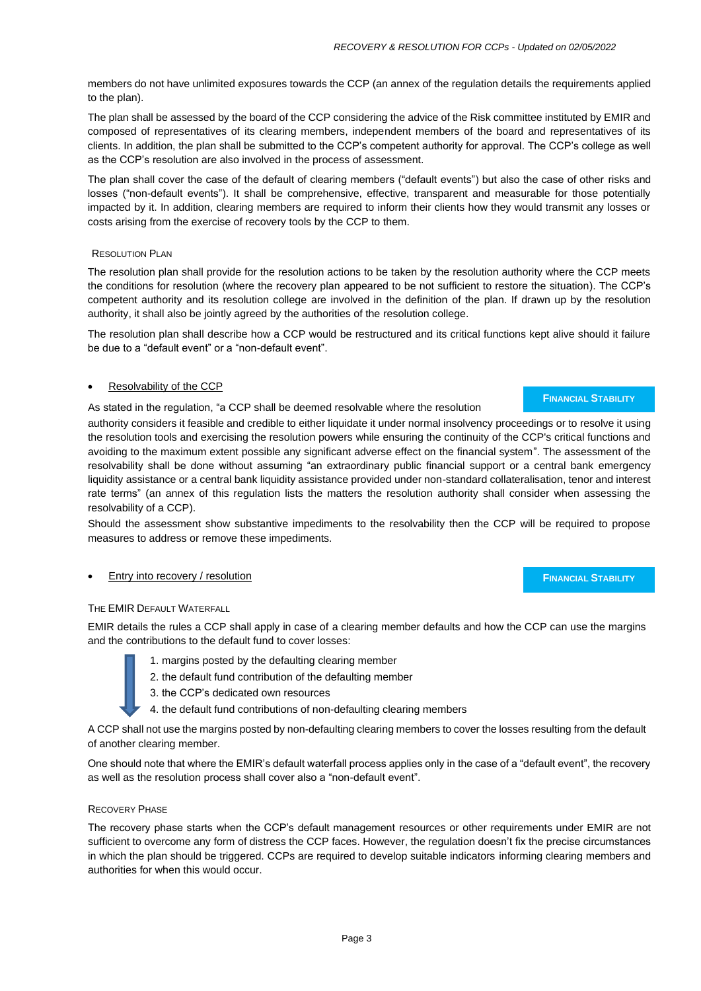members do not have unlimited exposures towards the CCP (an annex of the regulation details the requirements applied to the plan).

The plan shall be assessed by the board of the CCP considering the advice of the Risk committee instituted by EMIR and composed of representatives of its clearing members, independent members of the board and representatives of its clients. In addition, the plan shall be submitted to the CCP's competent authority for approval. The CCP's college as well as the CCP's resolution are also involved in the process of assessment.

The plan shall cover the case of the default of clearing members ("default events") but also the case of other risks and losses ("non-default events"). It shall be comprehensive, effective, transparent and measurable for those potentially impacted by it. In addition, clearing members are required to inform their clients how they would transmit any losses or costs arising from the exercise of recovery tools by the CCP to them.

#### RESOLUTION PLAN

The resolution plan shall provide for the resolution actions to be taken by the resolution authority where the CCP meets the conditions for resolution (where the recovery plan appeared to be not sufficient to restore the situation). The CCP's competent authority and its resolution college are involved in the definition of the plan. If drawn up by the resolution authority, it shall also be jointly agreed by the authorities of the resolution college.

The resolution plan shall describe how a CCP would be restructured and its critical functions kept alive should it failure be due to a "default event" or a "non-default event".

#### • Resolvability of the CCP

As stated in the regulation, "a CCP shall be deemed resolvable where the resolution

authority considers it feasible and credible to either liquidate it under normal insolvency proceedings or to resolve it using the resolution tools and exercising the resolution powers while ensuring the continuity of the CCP's critical functions and avoiding to the maximum extent possible any significant adverse effect on the financial system". The assessment of the resolvability shall be done without assuming "an extraordinary public financial support or a central bank emergency liquidity assistance or a central bank liquidity assistance provided under non-standard collateralisation, tenor and interest rate terms" (an annex of this regulation lists the matters the resolution authority shall consider when assessing the resolvability of a CCP).

Should the assessment show substantive impediments to the resolvability then the CCP will be required to propose measures to address or remove these impediments.

#### • Entry into recovery / resolution

#### THE EMIR DEFAULT WATERFALL

EMIR details the rules a CCP shall apply in case of a clearing member defaults and how the CCP can use the margins and the contributions to the default fund to cover losses:

- 1. margins posted by the defaulting clearing member
- 2. the default fund contribution of the defaulting member
- 3. the CCP's dedicated own resources
- 4. the default fund contributions of non-defaulting clearing members

A CCP shall not use the margins posted by non-defaulting clearing members to cover the losses resulting from the default of another clearing member.

One should note that where the EMIR's default waterfall process applies only in the case of a "default event", the recovery as well as the resolution process shall cover also a "non-default event".

#### RECOVERY PHASE

The recovery phase starts when the CCP's default management resources or other requirements under EMIR are not sufficient to overcome any form of distress the CCP faces. However, the regulation doesn't fix the precise circumstances in which the plan should be triggered. CCPs are required to develop suitable indicators informing clearing members and authorities for when this would occur.

**FINANCIAL STABILITY**

**FINANCIAL STABILITY**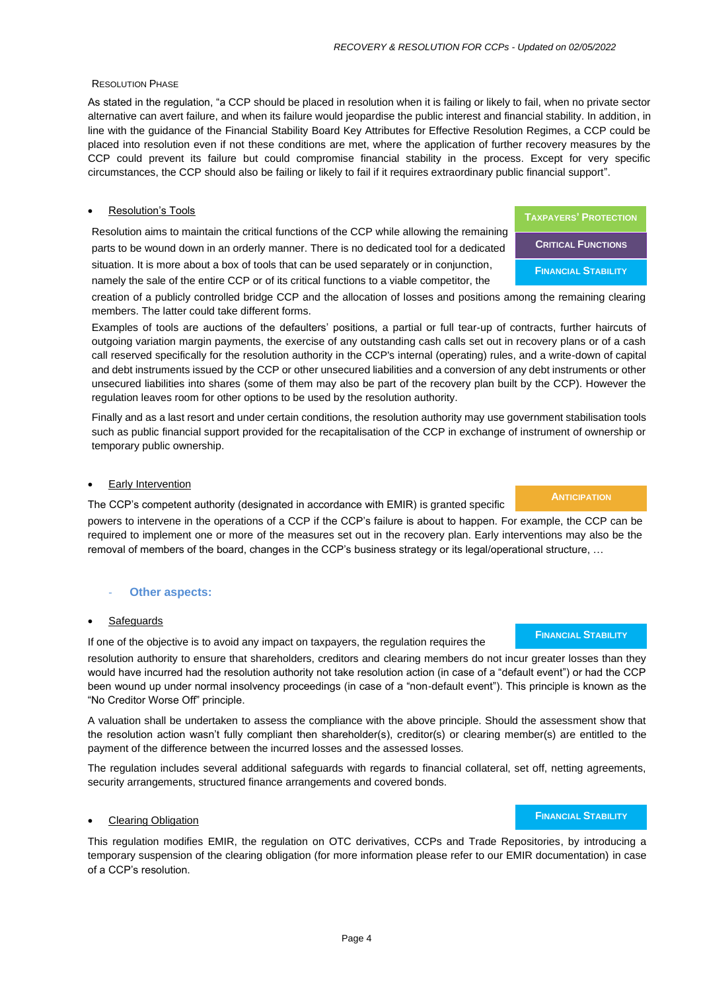#### RESOLUTION PHASE

As stated in the regulation, "a CCP should be placed in resolution when it is failing or likely to fail, when no private sector alternative can avert failure, and when its failure would jeopardise the public interest and financial stability. In addition, in line with the guidance of the Financial Stability Board Key Attributes for Effective Resolution Regimes, a CCP could be placed into resolution even if not these conditions are met, where the application of further recovery measures by the CCP could prevent its failure but could compromise financial stability in the process. Except for very specific circumstances, the CCP should also be failing or likely to fail if it requires extraordinary public financial support".

#### **Resolution's Tools**

Resolution aims to maintain the critical functions of the CCP while allowing the remaining parts to be wound down in an orderly manner. There is no dedicated tool for a dedicated situation. It is more about a box of tools that can be used separately or in conjunction, namely the sale of the entire CCP or of its critical functions to a viable competitor, the

creation of a publicly controlled bridge CCP and the allocation of losses and positions among the remaining clearing members. The latter could take different forms.

Examples of tools are auctions of the defaulters' positions, a partial or full tear-up of contracts, further haircuts of outgoing variation margin payments, the exercise of any outstanding cash calls set out in recovery plans or of a cash call reserved specifically for the resolution authority in the CCP's internal (operating) rules, and a write-down of capital and debt instruments issued by the CCP or other unsecured liabilities and a conversion of any debt instruments or other unsecured liabilities into shares (some of them may also be part of the recovery plan built by the CCP). However the regulation leaves room for other options to be used by the resolution authority.

Finally and as a last resort and under certain conditions, the resolution authority may use government stabilisation tools such as public financial support provided for the recapitalisation of the CCP in exchange of instrument of ownership or temporary public ownership.

#### **Early Intervention**

The CCP's competent authority (designated in accordance with EMIR) is granted specific

powers to intervene in the operations of a CCP if the CCP's failure is about to happen. For example, the CCP can be required to implement one or more of the measures set out in the recovery plan. Early interventions may also be the removal of members of the board, changes in the CCP's business strategy or its legal/operational structure, …

#### **Other aspects:**

#### **Safeguards**

If one of the objective is to avoid any impact on taxpayers, the regulation requires the resolution authority to ensure that shareholders, creditors and clearing members do not incur greater losses than they would have incurred had the resolution authority not take resolution action (in case of a "default event") or had the CCP been wound up under normal insolvency proceedings (in case of a "non-default event"). This principle is known as the "No Creditor Worse Off" principle.

A valuation shall be undertaken to assess the compliance with the above principle. Should the assessment show that the resolution action wasn't fully compliant then shareholder(s), creditor(s) or clearing member(s) are entitled to the payment of the difference between the incurred losses and the assessed losses.

The regulation includes several additional safeguards with regards to financial collateral, set off, netting agreements, security arrangements, structured finance arrangements and covered bonds.

#### • Clearing Obligation

This regulation modifies EMIR, the regulation on OTC derivatives, CCPs and Trade Repositories, by introducing a temporary suspension of the clearing obligation (for more information please refer to our EMIR documentation) in case of a CCP's resolution.

# **TAXPAYERS' PROTECTION CRITICAL FUNCTIONS FINANCIAL STABILITY**

# **FINANCIAL STABILITY**

### **FINANCIAL STABILITY**

**ANTICIPATION**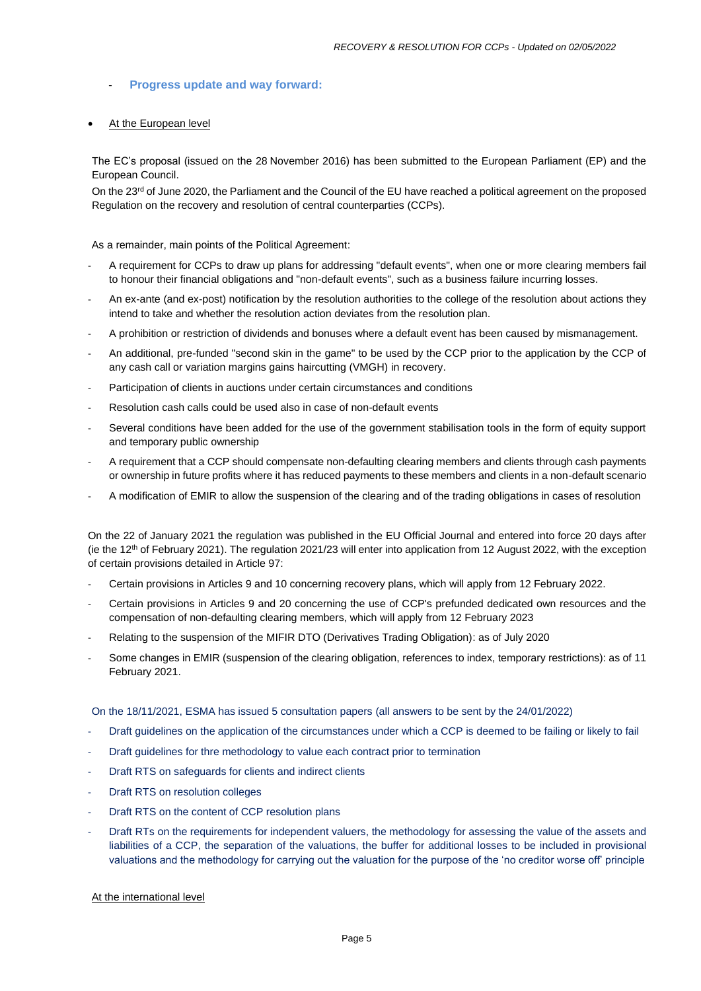#### - **Progress update and way forward:**

#### At the European level

The EC's proposal (issued on the 28 November 2016) has been submitted to the European Parliament (EP) and the European Council.

On the 23<sup>rd</sup> of June 2020, the Parliament and the Council of the EU have reached a political agreement on the proposed Regulation on the recovery and resolution of central counterparties (CCPs).

As a remainder, main points of the Political Agreement:

- A requirement for CCPs to draw up plans for addressing "default events", when one or more clearing members fail to honour their financial obligations and "non-default events", such as a business failure incurring losses.
- An ex-ante (and ex-post) notification by the resolution authorities to the college of the resolution about actions they intend to take and whether the resolution action deviates from the resolution plan.
- A prohibition or restriction of dividends and bonuses where a default event has been caused by mismanagement.
- An additional, pre-funded "second skin in the game" to be used by the CCP prior to the application by the CCP of any cash call or variation margins gains haircutting (VMGH) in recovery.
- Participation of clients in auctions under certain circumstances and conditions
- Resolution cash calls could be used also in case of non-default events
- Several conditions have been added for the use of the government stabilisation tools in the form of equity support and temporary public ownership
- A requirement that a CCP should compensate non-defaulting clearing members and clients through cash payments or ownership in future profits where it has reduced payments to these members and clients in a non-default scenario
- A modification of EMIR to allow the suspension of the clearing and of the trading obligations in cases of resolution

On the 22 of January 2021 the regulation was published in the EU Official Journal and entered into force 20 days after (ie the  $12<sup>th</sup>$  of February 2021). The regulation 2021/23 will enter into application from 12 August 2022, with the exception of certain provisions detailed in Article 97:

- Certain provisions in Articles 9 and 10 concerning recovery plans, which will apply from 12 February 2022.
- Certain provisions in Articles 9 and 20 concerning the use of CCP's prefunded dedicated own resources and the compensation of non-defaulting clearing members, which will apply from 12 February 2023
- Relating to the suspension of the MIFIR DTO (Derivatives Trading Obligation): as of July 2020
- Some changes in EMIR (suspension of the clearing obligation, references to index, temporary restrictions): as of 11 February 2021.

On the 18/11/2021, ESMA has issued 5 consultation papers (all answers to be sent by the 24/01/2022)

- Draft guidelines on the application of the circumstances under which a CCP is deemed to be failing or likely to fail
- Draft guidelines for thre methodology to value each contract prior to termination
- Draft RTS on safeguards for clients and indirect clients
- Draft RTS on resolution colleges
- Draft RTS on the content of CCP resolution plans
- Draft RTs on the requirements for independent valuers, the methodology for assessing the value of the assets and liabilities of a CCP, the separation of the valuations, the buffer for additional losses to be included in provisional valuations and the methodology for carrying out the valuation for the purpose of the 'no creditor worse off' principle

#### At the international level